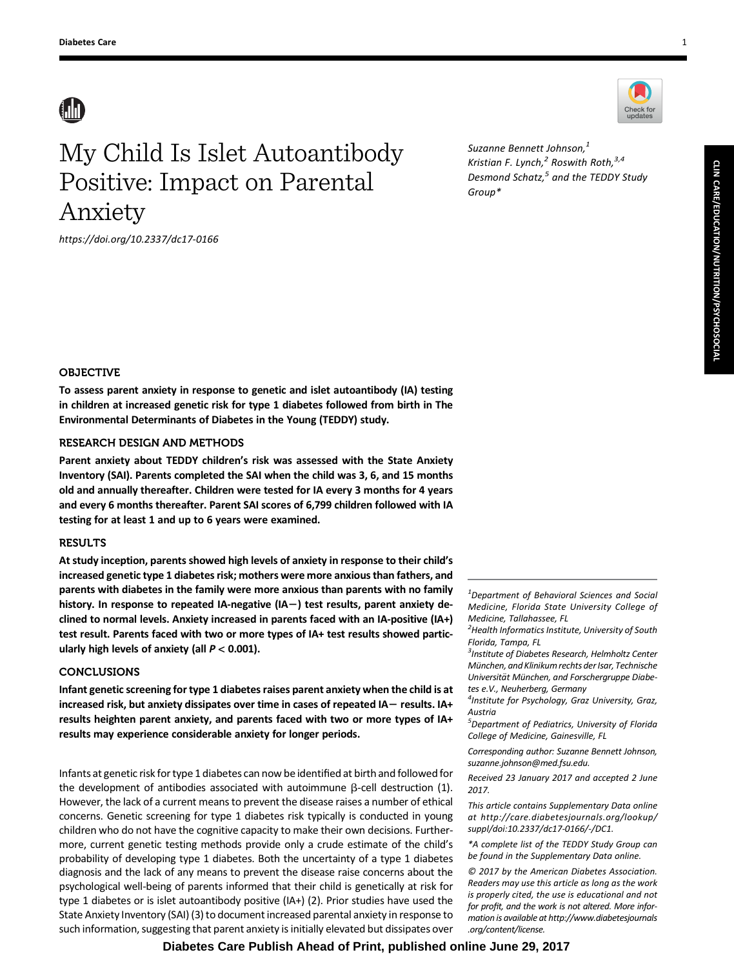# **AN**

# My Child Is Islet Autoantibody Positive: Impact on Parental Anxiety

<https://doi.org/10.2337/dc17-0166>

Suzanne Bennett Johnson,<sup>1</sup> Kristian F. Lynch, $^2$  Roswith Roth, $^{3,4}$ Desmond Schatz, $5$  and the TEDDY Study Group\*

## OBJECTIVE

To assess parent anxiety in response to genetic and islet autoantibody (IA) testing in children at increased genetic risk for type 1 diabetes followed from birth in The Environmental Determinants of Diabetes in the Young (TEDDY) study.

## RESEARCH DESIGN AND METHODS

Parent anxiety about TEDDY children's risk was assessed with the State Anxiety Inventory (SAI). Parents completed the SAI when the child was 3, 6, and 15 months old and annually thereafter. Children were tested for IA every 3 months for 4 years and every 6 months thereafter. Parent SAI scores of 6,799 children followed with IA testing for at least 1 and up to 6 years were examined.

## **RESULTS**

At study inception, parents showed high levels of anxiety in response to their child's increased genetic type 1 diabetes risk; mothers were more anxious than fathers, and parents with diabetes in the family were more anxious than parents with no family history. In response to repeated IA-negative (IA $-$ ) test results, parent anxiety declined to normal levels. Anxiety increased in parents faced with an IA-positive (IA+) test result. Parents faced with two or more types of IA+ test results showed particularly high levels of anxiety (all  $P < 0.001$ ).

## **CONCLUSIONS**

Infant genetic screening for type 1 diabetes raises parent anxiety when the child is at increased risk, but anxiety dissipates over time in cases of repeated IA $-$  results. IA+ results heighten parent anxiety, and parents faced with two or more types of IA+ results may experience considerable anxiety for longer periods.

Infants at genetic risk for type 1 diabetes can now be identified at birth and followed for the development of antibodies associated with autoimmune  $\beta$ -cell destruction (1). However, the lack of a current means to prevent the disease raises a number of ethical concerns. Genetic screening for type 1 diabetes risk typically is conducted in young children who do not have the cognitive capacity to make their own decisions. Furthermore, current genetic testing methods provide only a crude estimate of the child's probability of developing type 1 diabetes. Both the uncertainty of a type 1 diabetes diagnosis and the lack of any means to prevent the disease raise concerns about the psychological well-being of parents informed that their child is genetically at risk for type 1 diabetes or is islet autoantibody positive (IA+) (2). Prior studies have used the State Anxiety Inventory (SAI) (3) to document increased parental anxiety in response to such information, suggesting that parent anxiety is initially elevated but dissipates over

## **Diabetes Care Publish Ahead of Print, published online June 29, 2017**

 $1$ Department of Behavioral Sciences and Social Medicine, Florida State University College of Medicine, Tallahassee, FL

<sup>2</sup> Health Informatics Institute, University of South Florida, Tampa, FL

<sup>3</sup> Institute of Diabetes Research, Helmholtz Center Munchen, and Klinikum rechts der Isar, Technische ¨ Universität München, and Forschergruppe Diabetes e.V., Neuherberg, Germany

4 Institute for Psychology, Graz University, Graz, Austria

<sup>5</sup> Department of Pediatrics, University of Florida College of Medicine, Gainesville, FL

Corresponding author: Suzanne Bennett Johnson, [suzanne.johnson@med.fsu.edu](mailto:suzanne.johnson@med.fsu.edu).

Received 23 January 2017 and accepted 2 June 2017.

This article contains Supplementary Data online at [http://care.diabetesjournals.org/lookup/](http://care.diabetesjournals.org/lookup/suppl/doi:10.2337/dc17-0166/-/DC1) [suppl/doi:10.2337/dc17-0166/-/DC1.](http://care.diabetesjournals.org/lookup/suppl/doi:10.2337/dc17-0166/-/DC1)

\*A complete list of the TEDDY Study Group can be found in the Supplementary Data online.

© 2017 by the American Diabetes Association. Readers may use this article as long as the work is properly cited, the use is educational and not for profit, and the work is not altered. More information is available at [http://www.diabetesjournals](http://www.diabetesjournals.org/content/license) [.org/content/license](http://www.diabetesjournals.org/content/license).

Check for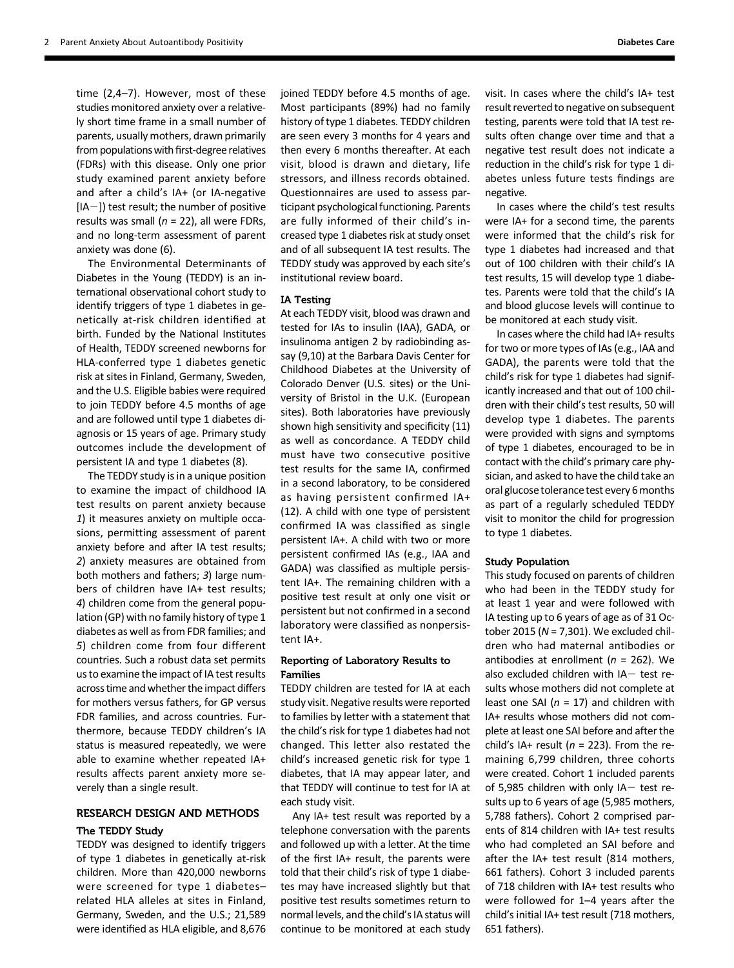time (2,4–7). However, most of these studies monitored anxiety over a relatively short time frame in a small number of parents, usually mothers, drawn primarily from populations with first-degree relatives (FDRs) with this disease. Only one prior study examined parent anxiety before and after a child's IA+ (or IA-negative  $[IA-]$ ) test result; the number of positive results was small ( $n = 22$ ), all were FDRs, and no long-term assessment of parent anxiety was done (6).

The Environmental Determinants of Diabetes in the Young (TEDDY) is an international observational cohort study to identify triggers of type 1 diabetes in genetically at-risk children identified at birth. Funded by the National Institutes of Health, TEDDY screened newborns for HLA-conferred type 1 diabetes genetic risk at sites in Finland, Germany, Sweden, and the U.S. Eligible babies were required to join TEDDY before 4.5 months of age and are followed until type 1 diabetes diagnosis or 15 years of age. Primary study outcomes include the development of persistent IA and type 1 diabetes (8).

The TEDDY study is in a unique position to examine the impact of childhood IA test results on parent anxiety because 1) it measures anxiety on multiple occasions, permitting assessment of parent anxiety before and after IA test results; 2) anxiety measures are obtained from both mothers and fathers; 3) large numbers of children have IA+ test results; 4) children come from the general population (GP) with no family history of type 1 diabetes as well as from FDR families; and 5) children come from four different countries. Such a robust data set permits us to examine the impact of IA test results across time and whether the impact differs for mothers versus fathers, for GP versus FDR families, and across countries. Furthermore, because TEDDY children's IA status is measured repeatedly, we were able to examine whether repeated IA+ results affects parent anxiety more severely than a single result.

## RESEARCH DESIGN AND METHODS

## The TEDDY Study

TEDDY was designed to identify triggers of type 1 diabetes in genetically at-risk children. More than 420,000 newborns were screened for type 1 diabetes– related HLA alleles at sites in Finland, Germany, Sweden, and the U.S.; 21,589 were identified as HLA eligible, and 8,676 joined TEDDY before 4.5 months of age. Most participants (89%) had no family history of type 1 diabetes. TEDDY children are seen every 3 months for 4 years and then every 6 months thereafter. At each visit, blood is drawn and dietary, life stressors, and illness records obtained. Questionnaires are used to assess participant psychological functioning. Parents are fully informed of their child's increased type 1 diabetes risk at study onset and of all subsequent IA test results. The TEDDY study was approved by each site's institutional review board.

## IA Testing

At each TEDDY visit, blood was drawn and tested for IAs to insulin (IAA), GADA, or insulinoma antigen 2 by radiobinding assay (9,10) at the Barbara Davis Center for Childhood Diabetes at the University of Colorado Denver (U.S. sites) or the University of Bristol in the U.K. (European sites). Both laboratories have previously shown high sensitivity and specificity (11) as well as concordance. A TEDDY child must have two consecutive positive test results for the same IA, confirmed in a second laboratory, to be considered as having persistent confirmed IA+ (12). A child with one type of persistent confirmed IA was classified as single persistent IA+. A child with two or more persistent confirmed IAs (e.g., IAA and GADA) was classified as multiple persistent IA+. The remaining children with a positive test result at only one visit or persistent but not confirmed in a second laboratory were classified as nonpersistent IA+.

## Reporting of Laboratory Results to Families

TEDDY children are tested for IA at each study visit. Negative results were reported to families by letter with a statement that the child's risk for type 1 diabetes had not changed. This letter also restated the child's increased genetic risk for type 1 diabetes, that IA may appear later, and that TEDDY will continue to test for IA at each study visit.

Any IA+ test result was reported by a telephone conversation with the parents and followed up with a letter. At the time of the first IA+ result, the parents were told that their child's risk of type 1 diabetes may have increased slightly but that positive test results sometimes return to normal levels, and the child's IA status will continue to be monitored at each study visit. In cases where the child's IA+ test result reverted to negative on subsequent testing, parents were told that IA test results often change over time and that a negative test result does not indicate a reduction in the child's risk for type 1 diabetes unless future tests findings are negative.

In cases where the child's test results were IA+ for a second time, the parents were informed that the child's risk for type 1 diabetes had increased and that out of 100 children with their child's IA test results, 15 will develop type 1 diabetes. Parents were told that the child's IA and blood glucose levels will continue to be monitored at each study visit.

In cases where the child had IA+ results for two or more types of IAs (e.g., IAA and GADA), the parents were told that the child's risk for type 1 diabetes had significantly increased and that out of 100 children with their child's test results, 50 will develop type 1 diabetes. The parents were provided with signs and symptoms of type 1 diabetes, encouraged to be in contact with the child's primary care physician, and asked to have the child take an oral glucose tolerance test every 6months as part of a regularly scheduled TEDDY visit to monitor the child for progression to type 1 diabetes.

#### Study Population

This study focused on parents of children who had been in the TEDDY study for at least 1 year and were followed with IA testing up to 6 years of age as of 31 October 2015 ( $N = 7,301$ ). We excluded children who had maternal antibodies or antibodies at enrollment ( $n = 262$ ). We also excluded children with  $IA-$  test results whose mothers did not complete at least one SAI ( $n = 17$ ) and children with IA+ results whose mothers did not complete at least one SAI before and after the child's IA+ result ( $n = 223$ ). From the remaining 6,799 children, three cohorts were created. Cohort 1 included parents of 5,985 children with only IA $-$  test results up to 6 years of age (5,985 mothers, 5,788 fathers). Cohort 2 comprised parents of 814 children with IA+ test results who had completed an SAI before and after the IA+ test result (814 mothers, 661 fathers). Cohort 3 included parents of 718 children with IA+ test results who were followed for 1–4 years after the child's initial IA+ test result (718 mothers, 651 fathers).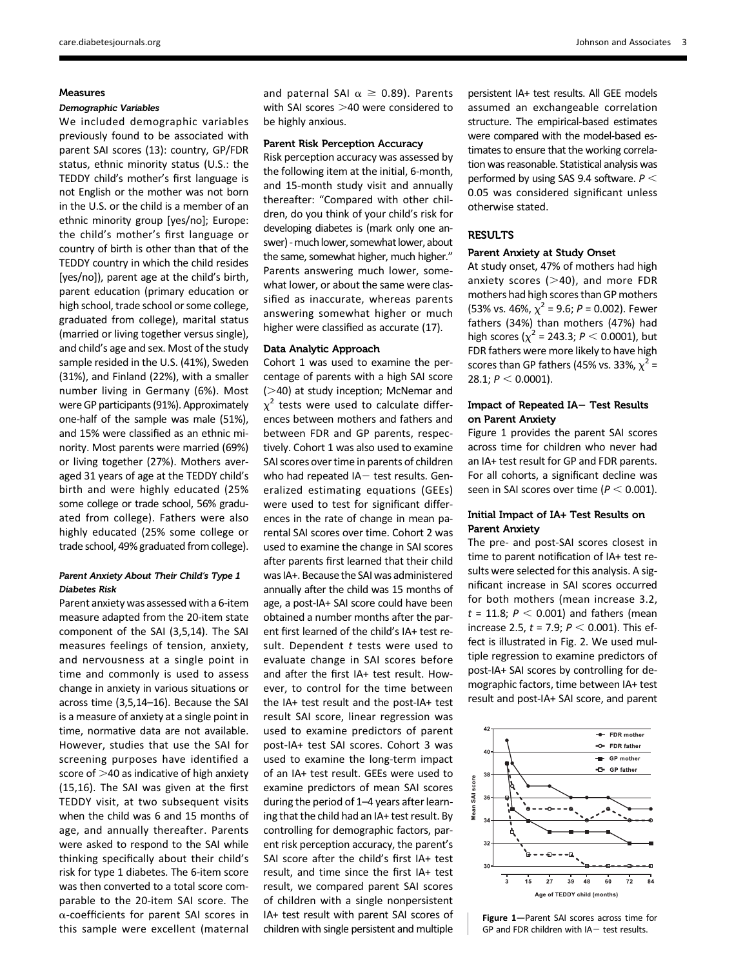### Measures

#### Demographic Variables

We included demographic variables previously found to be associated with parent SAI scores (13): country, GP/FDR status, ethnic minority status (U.S.: the TEDDY child's mother's first language is not English or the mother was not born in the U.S. or the child is a member of an ethnic minority group [yes/no]; Europe: the child's mother's first language or country of birth is other than that of the TEDDY country in which the child resides [yes/no]), parent age at the child's birth, parent education (primary education or high school, trade school or some college, graduated from college), marital status (married or living together versus single), and child's age and sex. Most of the study sample resided in the U.S. (41%), Sweden (31%), and Finland (22%), with a smaller number living in Germany (6%). Most were GP participants (91%). Approximately one-half of the sample was male (51%), and 15% were classified as an ethnic minority. Most parents were married (69%) or living together (27%). Mothers averaged 31 years of age at the TEDDY child's birth and were highly educated (25% some college or trade school, 56% graduated from college). Fathers were also highly educated (25% some college or trade school, 49% graduated from college).

## Parent Anxiety About Their Child's Type 1 Diabetes Risk

Parent anxiety was assessed with a 6-item measure adapted from the 20-item state component of the SAI (3,5,14). The SAI measures feelings of tension, anxiety, and nervousness at a single point in time and commonly is used to assess change in anxiety in various situations or across time (3,5,14–16). Because the SAI is a measure of anxiety at a single point in time, normative data are not available. However, studies that use the SAI for screening purposes have identified a score of  $>$ 40 as indicative of high anxiety (15,16). The SAI was given at the first TEDDY visit, at two subsequent visits when the child was 6 and 15 months of age, and annually thereafter. Parents were asked to respond to the SAI while thinking specifically about their child's risk for type 1 diabetes. The 6-item score was then converted to a total score comparable to the 20-item SAI score. The  $\alpha$ -coefficients for parent SAI scores in this sample were excellent (maternal

and paternal SAI  $\alpha \ge 0.89$ ). Parents with SAI scores  $>$ 40 were considered to be highly anxious.

## Parent Risk Perception Accuracy

Risk perception accuracy was assessed by the following item at the initial, 6-month, and 15-month study visit and annually thereafter: "Compared with other children, do you think of your child's risk for developing diabetes is (mark only one answer) -much lower, somewhat lower, about the same, somewhat higher, much higher." Parents answering much lower, somewhat lower, or about the same were classified as inaccurate, whereas parents answering somewhat higher or much higher were classified as accurate (17).

### Data Analytic Approach

Cohort 1 was used to examine the percentage of parents with a high SAI score  $(>40)$  at study inception; McNemar and  $\chi^2$  tests were used to calculate differences between mothers and fathers and between FDR and GP parents, respectively. Cohort 1 was also used to examine SAI scores over time in parents of children who had repeated  $IA-$  test results. Generalized estimating equations (GEEs) were used to test for significant differences in the rate of change in mean parental SAI scores over time. Cohort 2 was used to examine the change in SAI scores after parents first learned that their child was IA+. Because the SAI was administered annually after the child was 15 months of age, a post-IA+ SAI score could have been obtained a number months after the parent first learned of the child's IA+ test result. Dependent  $t$  tests were used to evaluate change in SAI scores before and after the first IA+ test result. However, to control for the time between the IA+ test result and the post-IA+ test result SAI score, linear regression was used to examine predictors of parent post-IA+ test SAI scores. Cohort 3 was used to examine the long-term impact of an IA+ test result. GEEs were used to examine predictors of mean SAI scores during the period of 1–4 years after learning that the child had an IA+ test result. By controlling for demographic factors, parent risk perception accuracy, the parent's SAI score after the child's first IA+ test result, and time since the first IA+ test result, we compared parent SAI scores of children with a single nonpersistent IA+ test result with parent SAI scores of children with single persistent and multiple persistent IA+ test results. All GEE models assumed an exchangeable correlation structure. The empirical-based estimates were compared with the model-based estimates to ensure that the working correlation was reasonable. Statistical analysis was performed by using SAS 9.4 software.  $P <$ 0.05 was considered significant unless otherwise stated.

## **RESULTS**

## Parent Anxiety at Study Onset

At study onset, 47% of mothers had high anxiety scores  $(>40)$ , and more FDR mothers had high scores than GP mothers (53% vs. 46%,  $\chi^2$  = 9.6; P = 0.002). Fewer fathers (34%) than mothers (47%) had high scores ( $\chi^2$  = 243.3; *P* < 0.0001), but FDR fathers were more likely to have high scores than GP fathers (45% vs. 33%,  $\chi^2$  = 28.1;  $P < 0.0001$ ).

## Impact of Repeated IA- Test Results on Parent Anxiety

Figure 1 provides the parent SAI scores across time for children who never had an IA+ test result for GP and FDR parents. For all cohorts, a significant decline was seen in SAI scores over time ( $P < 0.001$ ).

## Initial Impact of IA+ Test Results on Parent Anxiety

The pre- and post-SAI scores closest in time to parent notification of IA+ test results were selected for this analysis. A significant increase in SAI scores occurred for both mothers (mean increase 3.2,  $t = 11.8; P < 0.001$ ) and fathers (mean increase 2.5,  $t = 7.9$ ;  $P < 0.001$ ). This effect is illustrated in Fig. 2. We used multiple regression to examine predictors of post-IA+ SAI scores by controlling for demographic factors, time between IA+ test result and post-IA+ SAI score, and parent



Figure 1—Parent SAI scores across time for GP and FDR children with  $IA-$  test results.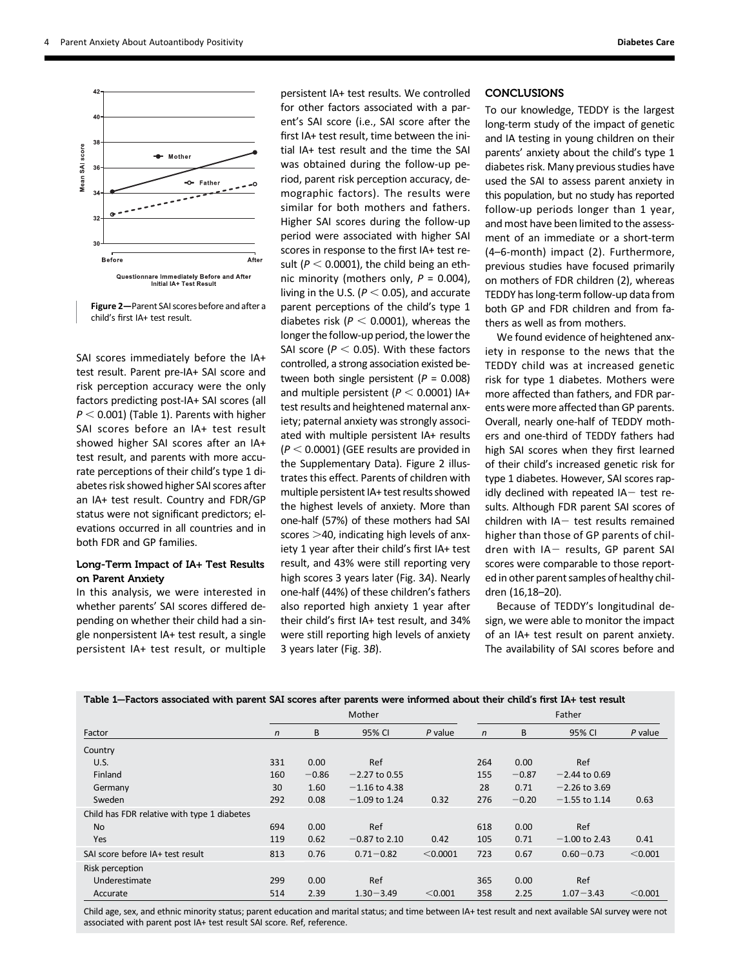

Figure 2—Parent SAI scores before and after a child's first IA+ test result.

SAI scores immediately before the IA+ test result. Parent pre-IA+ SAI score and risk perception accuracy were the only factors predicting post-IA+ SAI scores (all  $P < 0.001$ ) (Table 1). Parents with higher SAI scores before an IA+ test result showed higher SAI scores after an IA+ test result, and parents with more accurate perceptions of their child's type 1 diabetes risk showed higher SAI scores after an IA+ test result. Country and FDR/GP status were not significant predictors; elevations occurred in all countries and in both FDR and GP families.

## Long-Term Impact of IA+ Test Results on Parent Anxiety

In this analysis, we were interested in whether parents' SAI scores differed depending on whether their child had a single nonpersistent IA+ test result, a single persistent IA+ test result, or multiple

persistent IA+ test results. We controlled for other factors associated with a parent's SAI score (i.e., SAI score after the first IA+ test result, time between the initial IA+ test result and the time the SAI was obtained during the follow-up period, parent risk perception accuracy, demographic factors). The results were similar for both mothers and fathers. Higher SAI scores during the follow-up period were associated with higher SAI scores in response to the first IA+ test result ( $P < 0.0001$ ), the child being an ethnic minority (mothers only,  $P = 0.004$ ), living in the U.S. ( $P < 0.05$ ), and accurate parent perceptions of the child's type 1 diabetes risk ( $P < 0.0001$ ), whereas the longer the follow-up period, the lower the SAI score ( $P < 0.05$ ). With these factors controlled, a strong association existed between both single persistent ( $P = 0.008$ ) and multiple persistent ( $P < 0.0001$ ) IA+ test results and heightened maternal anxiety; paternal anxiety was strongly associated with multiple persistent IA+ results  $(P < 0.0001)$  (GEE results are provided in the [Supplementary Data](http://care.diabetesjournals.org/lookup/suppl/doi:10.2337/dc17-0166/-/DC1)). Figure 2 illustrates this effect. Parents of children with multiple persistent IA+ test results showed the highest levels of anxiety. More than one-half (57%) of these mothers had SAI scores  $>$ 40, indicating high levels of anxiety 1 year after their child's first IA+ test result, and 43% were still reporting very high scores 3 years later (Fig. 3A). Nearly one-half (44%) of these children's fathers also reported high anxiety 1 year after their child's first IA+ test result, and 34% were still reporting high levels of anxiety 3 years later (Fig. 3B).

## **CONCLUSIONS**

To our knowledge, TEDDY is the largest long-term study of the impact of genetic and IA testing in young children on their parents' anxiety about the child's type 1 diabetes risk. Many previous studies have used the SAI to assess parent anxiety in this population, but no study has reported follow-up periods longer than 1 year, and most have been limited to the assessment of an immediate or a short-term (4–6-month) impact (2). Furthermore, previous studies have focused primarily on mothers of FDR children (2), whereas TEDDY has long-term follow-up data from both GP and FDR children and from fathers as well as from mothers.

We found evidence of heightened anxiety in response to the news that the TEDDY child was at increased genetic risk for type 1 diabetes. Mothers were more affected than fathers, and FDR parents were more affected than GP parents. Overall, nearly one-half of TEDDY mothers and one-third of TEDDY fathers had high SAI scores when they first learned of their child's increased genetic risk for type 1 diabetes. However, SAI scores rapidly declined with repeated  $IA-$  test results. Although FDR parent SAI scores of children with  $IA-$  test results remained higher than those of GP parents of children with  $IA-$  results, GP parent SAI scores were comparable to those reported in other parent samples of healthy children (16,18–20).

Because of TEDDY's longitudinal design, we were able to monitor the impact of an IA+ test result on parent anxiety. The availability of SAI scores before and

|                                             |              | Mother  |                 |           |              | Father  |                 |         |  |
|---------------------------------------------|--------------|---------|-----------------|-----------|--------------|---------|-----------------|---------|--|
| Factor                                      | $\mathsf{n}$ | B       | 95% CI          | $P$ value | $\mathsf{n}$ | B       | 95% CI          | P value |  |
| Country                                     |              |         |                 |           |              |         |                 |         |  |
| U.S.                                        | 331          | 0.00    | Ref             |           | 264          | 0.00    | Ref             |         |  |
| Finland                                     | 160          | $-0.86$ | $-2.27$ to 0.55 |           | 155          | $-0.87$ | $-2.44$ to 0.69 |         |  |
| Germany                                     | 30           | 1.60    | $-1.16$ to 4.38 |           | 28           | 0.71    | $-2.26$ to 3.69 |         |  |
| Sweden                                      | 292          | 0.08    | $-1.09$ to 1.24 | 0.32      | 276          | $-0.20$ | $-1.55$ to 1.14 | 0.63    |  |
| Child has FDR relative with type 1 diabetes |              |         |                 |           |              |         |                 |         |  |
| <b>No</b>                                   | 694          | 0.00    | Ref             |           | 618          | 0.00    | Ref             |         |  |
| Yes                                         | 119          | 0.62    | $-0.87$ to 2.10 | 0.42      | 105          | 0.71    | $-1.00$ to 2.43 | 0.41    |  |
| SAI score before IA+ test result            | 813          | 0.76    | $0.71 - 0.82$   | < 0.0001  | 723          | 0.67    | $0.60 - 0.73$   | < 0.001 |  |
| Risk perception                             |              |         |                 |           |              |         |                 |         |  |
| Underestimate                               | 299          | 0.00    | Ref             |           | 365          | 0.00    | Ref             |         |  |
| Accurate                                    | 514          | 2.39    | $1.30 - 3.49$   | < 0.001   | 358          | 2.25    | $1.07 - 3.43$   | < 0.001 |  |

#### Table 1—Factors associated with parent SAI scores after parents were informed about their child's first IA+ test result

Child age, sex, and ethnic minority status; parent education and marital status; and time between IA+ test result and next available SAI survey were not associated with parent post IA+ test result SAI score. Ref, reference.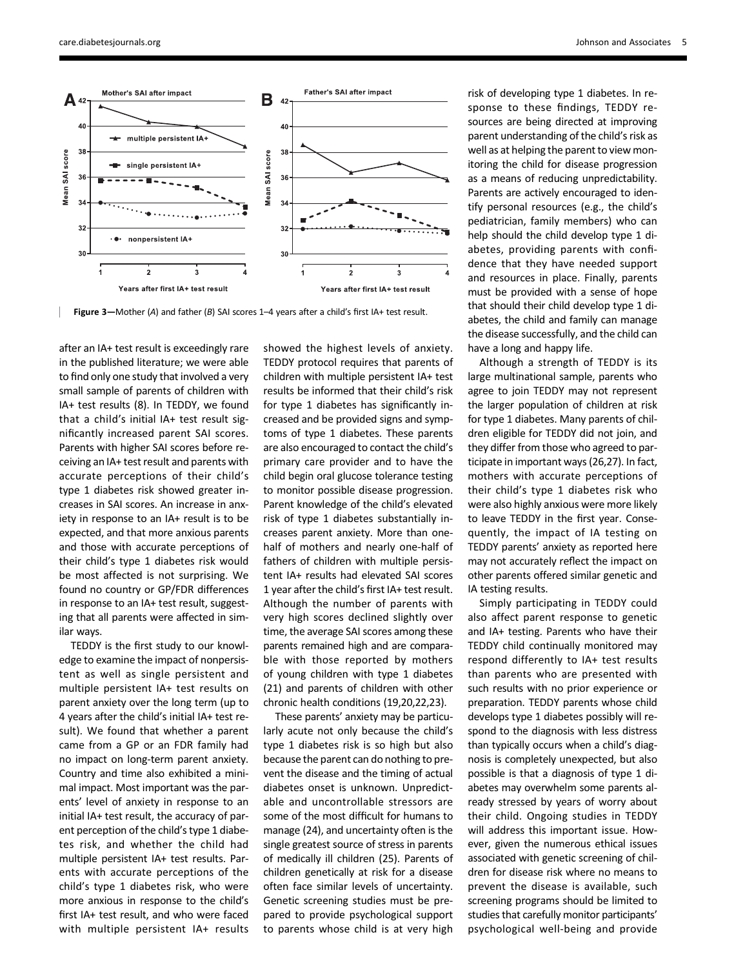

Figure 3—Mother (A) and father (B) SAI scores 1–4 years after a child's first IA+ test result.

after an IA+ test result is exceedingly rare in the published literature; we were able to find only one study that involved a very small sample of parents of children with IA+ test results (8). In TEDDY, we found that a child's initial IA+ test result significantly increased parent SAI scores. Parents with higher SAI scores before receiving an IA+ test result and parents with accurate perceptions of their child's type 1 diabetes risk showed greater increases in SAI scores. An increase in anxiety in response to an IA+ result is to be expected, and that more anxious parents and those with accurate perceptions of their child's type 1 diabetes risk would be most affected is not surprising. We found no country or GP/FDR differences in response to an IA+ test result, suggesting that all parents were affected in similar ways.

TEDDY is the first study to our knowledge to examine the impact of nonpersistent as well as single persistent and multiple persistent IA+ test results on parent anxiety over the long term (up to 4 years after the child's initial IA+ test result). We found that whether a parent came from a GP or an FDR family had no impact on long-term parent anxiety. Country and time also exhibited a minimal impact. Most important was the parents' level of anxiety in response to an initial IA+ test result, the accuracy of parent perception of the child's type 1 diabetes risk, and whether the child had multiple persistent IA+ test results. Parents with accurate perceptions of the child's type 1 diabetes risk, who were more anxious in response to the child's first IA+ test result, and who were faced with multiple persistent IA+ results

showed the highest levels of anxiety. TEDDY protocol requires that parents of children with multiple persistent IA+ test results be informed that their child's risk for type 1 diabetes has significantly increased and be provided signs and symptoms of type 1 diabetes. These parents are also encouraged to contact the child's primary care provider and to have the child begin oral glucose tolerance testing to monitor possible disease progression. Parent knowledge of the child's elevated risk of type 1 diabetes substantially increases parent anxiety. More than onehalf of mothers and nearly one-half of fathers of children with multiple persistent IA+ results had elevated SAI scores 1 year after the child's first IA+ test result. Although the number of parents with very high scores declined slightly over time, the average SAI scores among these parents remained high and are comparable with those reported by mothers of young children with type 1 diabetes (21) and parents of children with other chronic health conditions (19,20,22,23).

These parents' anxiety may be particularly acute not only because the child's type 1 diabetes risk is so high but also because the parent can do nothing to prevent the disease and the timing of actual diabetes onset is unknown. Unpredictable and uncontrollable stressors are some of the most difficult for humans to manage (24), and uncertainty often is the single greatest source of stress in parents of medically ill children (25). Parents of children genetically at risk for a disease often face similar levels of uncertainty. Genetic screening studies must be prepared to provide psychological support to parents whose child is at very high risk of developing type 1 diabetes. In response to these findings, TEDDY resources are being directed at improving parent understanding of the child's risk as well as at helping the parent to view monitoring the child for disease progression as a means of reducing unpredictability. Parents are actively encouraged to identify personal resources (e.g., the child's pediatrician, family members) who can help should the child develop type 1 diabetes, providing parents with confidence that they have needed support and resources in place. Finally, parents must be provided with a sense of hope that should their child develop type 1 diabetes, the child and family can manage the disease successfully, and the child can have a long and happy life.

Although a strength of TEDDY is its large multinational sample, parents who agree to join TEDDY may not represent the larger population of children at risk for type 1 diabetes. Many parents of children eligible for TEDDY did not join, and they differ from those who agreed to participate in important ways (26,27). In fact, mothers with accurate perceptions of their child's type 1 diabetes risk who were also highly anxious were more likely to leave TEDDY in the first year. Consequently, the impact of IA testing on TEDDY parents' anxiety as reported here may not accurately reflect the impact on other parents offered similar genetic and IA testing results.

Simply participating in TEDDY could also affect parent response to genetic and IA+ testing. Parents who have their TEDDY child continually monitored may respond differently to IA+ test results than parents who are presented with such results with no prior experience or preparation. TEDDY parents whose child develops type 1 diabetes possibly will respond to the diagnosis with less distress than typically occurs when a child's diagnosis is completely unexpected, but also possible is that a diagnosis of type 1 diabetes may overwhelm some parents already stressed by years of worry about their child. Ongoing studies in TEDDY will address this important issue. However, given the numerous ethical issues associated with genetic screening of children for disease risk where no means to prevent the disease is available, such screening programs should be limited to studies that carefully monitor participants' psychological well-being and provide